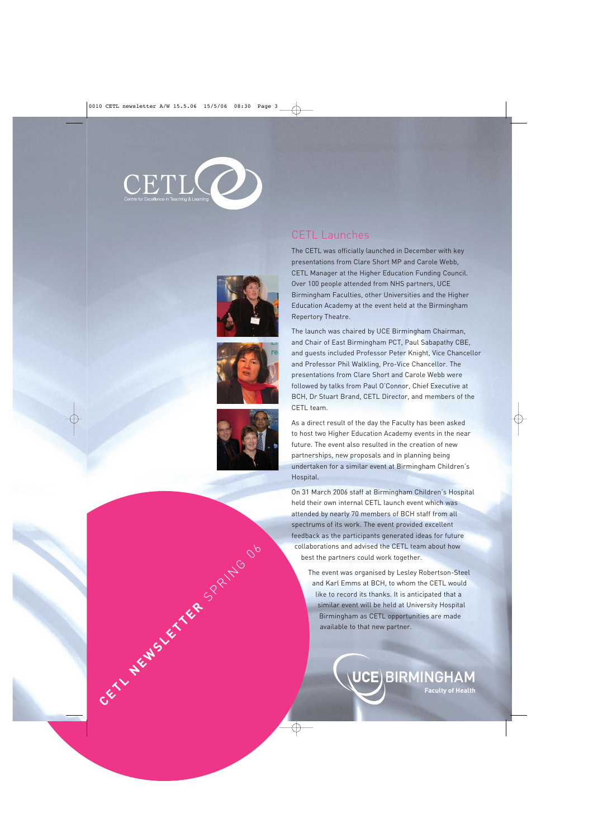







### CETL Launches

The CETL was officially launched in December with key presentations from Clare Short MP and Carole Webb, CETL Manager at the Higher Education Funding Council. Over 100 people attended from NHS partners, UCE Birmingham Faculties, other Universities and the Higher Education Academy at the event held at the Birmingham Repertory Theatre.

The launch was chaired by UCE Birmingham Chairman, and Chair of East Birmingham PCT, Paul Sabapathy CBE, and guests included Professor Peter Knight, Vice Chancellor and Professor Phil Walkling, Pro-Vice Chancellor. The presentations from Clare Short and Carole Webb were followed by talks from Paul O'Connor, Chief Executive at BCH, Dr Stuart Brand, CETL Director, and members of the CETL team.

As a direct result of the day the Faculty has been asked to host two Higher Education Academy events in the near future. The event also resulted in the creation of new partnerships, new proposals and in planning being undertaken for a similar event at Birmingham Children's Hospital.

On 31 March 2006 staff at Birmingham Children's Hospital held their own internal CETL launch event which was attended by nearly 70 members of BCH staff from all spectrums of its work. The event provided excellent feedback as the participants generated ideas for future collaborations and advised the CETL team about how best the partners could work together.

The event was organised by Lesley Robertson-Steel and Karl Emms at BCH, to whom the CETL would like to record its thanks. It is anticipated that a similar event will be held at University Hospital Birmingham as CETL opportunities are made available to the CETL team about how<br>
The cent was organised by Lesley Robertson-Steel<br>
and Karl Ermis at BCH, to whom the CETL would<br>
slimiter very with be held at University Hospital<br>
SPRING DEL BIRMING HAM<br>
CETL CHE BIR

**Faculty of Health**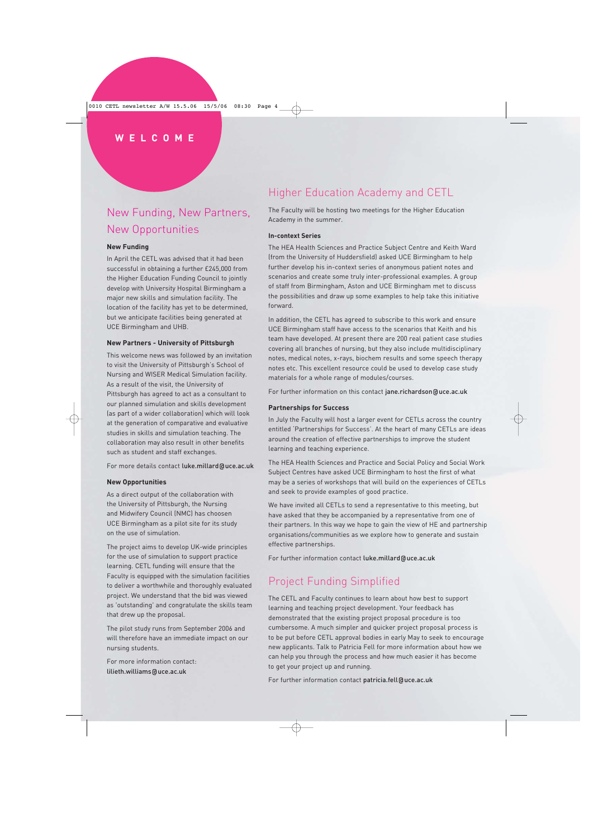## New Funding, New Partners, New Opportunities

### **New Funding**

In April the CETL was advised that it had been successful in obtaining a further £245,000 from the Higher Education Funding Council to jointly develop with University Hospital Birmingham a major new skills and simulation facility. The location of the facility has yet to be determined, but we anticipate facilities being generated at UCE Birmingham and UHB.

#### **New Partners - University of Pittsburgh**

This welcome news was followed by an invitation to visit the University of Pittsburgh's School of Nursing and WISER Medical Simulation facility. As a result of the visit, the University of Pittsburgh has agreed to act as a consultant to our planned simulation and skills development (as part of a wider collaboration) which will look at the generation of comparative and evaluative studies in skills and simulation teaching. The collaboration may also result in other benefits such as student and staff exchanges.

For more details contact luke.millard@uce.ac.uk

#### **New Opportunities**

As a direct output of the collaboration with the University of Pittsburgh, the Nursing and Midwifery Council (NMC) has choosen UCE Birmingham as a pilot site for its study on the use of simulation.

The project aims to develop UK-wide principles for the use of simulation to support practice learning. CETL funding will ensure that the Faculty is equipped with the simulation facilities to deliver a worthwhile and thoroughly evaluated project. We understand that the bid was viewed as 'outstanding' and congratulate the skills team that drew up the proposal.

The pilot study runs from September 2006 and will therefore have an immediate impact on our nursing students.

For more information contact: lilieth.williams@uce.ac.uk

## Higher Education Academy and CETL

The Faculty will be hosting two meetings for the Higher Education Academy in the summer.

#### **In-context Series**

The HEA Health Sciences and Practice Subject Centre and Keith Ward (from the University of Huddersfield) asked UCE Birmingham to help further develop his in-context series of anonymous patient notes and scenarios and create some truly inter-professional examples. A group of staff from Birmingham, Aston and UCE Birmingham met to discuss the possibilities and draw up some examples to help take this initiative forward.

In addition, the CETL has agreed to subscribe to this work and ensure UCE Birmingham staff have access to the scenarios that Keith and his team have developed. At present there are 200 real patient case studies covering all branches of nursing, but they also include multidisciplinary notes, medical notes, x-rays, biochem results and some speech therapy notes etc. This excellent resource could be used to develop case study materials for a whole range of modules/courses.

For further information on this contact jane.richardson@uce.ac.uk

#### **Partnerships for Success**

In July the Faculty will host a larger event for CETLs across the country entitled 'Partnerships for Success'. At the heart of many CETLs are ideas around the creation of effective partnerships to improve the student learning and teaching experience.

The HEA Health Sciences and Practice and Social Policy and Social Work Subject Centres have asked UCE Birmingham to host the first of what may be a series of workshops that will build on the experiences of CETLs and seek to provide examples of good practice.

We have invited all CETLs to send a representative to this meeting, but have asked that they be accompanied by a representative from one of their partners. In this way we hope to gain the view of HE and partnership organisations/communities as we explore how to generate and sustain effective partnerships.

For further information contact luke.millard@uce.ac.uk

## Project Funding Simplified

The CETL and Faculty continues to learn about how best to support learning and teaching project development. Your feedback has demonstrated that the existing project proposal procedure is too cumbersome. A much simpler and quicker project proposal process is to be put before CETL approval bodies in early May to seek to encourage new applicants. Talk to Patricia Fell for more information about how we can help you through the process and how much easier it has become to get your project up and running.

For further information contact patricia.fell@uce.ac.uk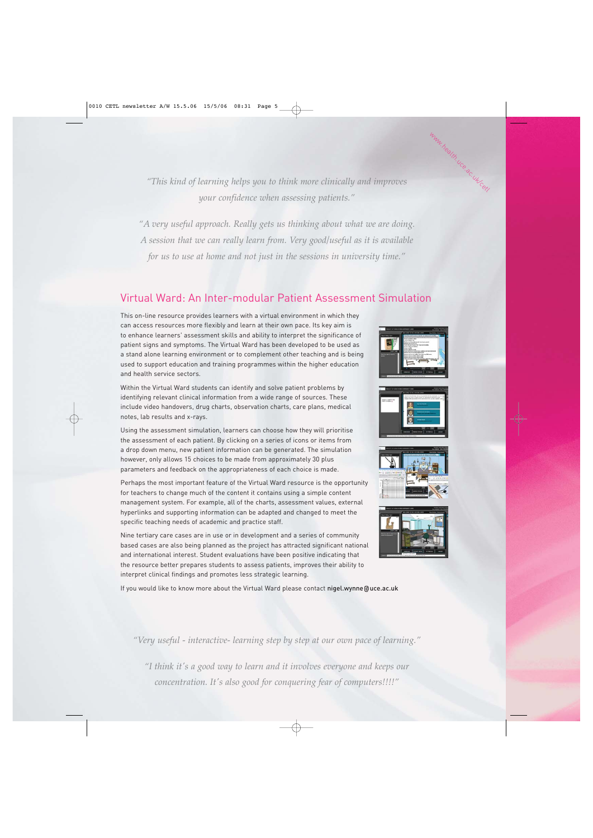*"This kind of learning helps you to think more clinically and improves your confidence when assessing patients."* 

*"A very useful approach. Really gets us thinking about what we are doing. A session that we can really learn from. Very good/useful as it is available for us to use at home and not just in the sessions in university time."* 

### Virtual Ward: An Inter-modular Patient Assessment Simulation

This on-line resource provides learners with a virtual environment in which they can access resources more flexibly and learn at their own pace. Its key aim is to enhance learners' assessment skills and ability to interpret the significance of patient signs and symptoms. The Virtual Ward has been developed to be used as a stand alone learning environment or to complement other teaching and is being used to support education and training programmes within the higher education and health service sectors.

Within the Virtual Ward students can identify and solve patient problems by identifying relevant clinical information from a wide range of sources. These include video handovers, drug charts, observation charts, care plans, medical notes, lab results and x-rays.

Using the assessment simulation, learners can choose how they will prioritise the assessment of each patient. By clicking on a series of icons or items from a drop down menu, new patient information can be generated. The simulation however, only allows 15 choices to be made from approximately 30 plus parameters and feedback on the appropriateness of each choice is made.

Perhaps the most important feature of the Virtual Ward resource is the opportunity for teachers to change much of the content it contains using a simple content management system. For example, all of the charts, assessment values, external hyperlinks and supporting information can be adapted and changed to meet the specific teaching needs of academic and practice staff.

Nine tertiary care cases are in use or in development and a series of community based cases are also being planned as the project has attracted significant national and international interest. Student evaluations have been positive indicating that the resource better prepares students to assess patients, improves their ability to interpret clinical findings and promotes less strategic learning.

If you would like to know more about the Virtual Ward please contact nigel.wynne@uce.ac.uk



www.health.uce.ac.uk/cetl







*"Very useful - interactive- learning step by step at our own pace of learning."*

*"I think it's a good way to learn and it involves everyone and keeps our concentration. It's also good for conquering fear of computers!!!!"*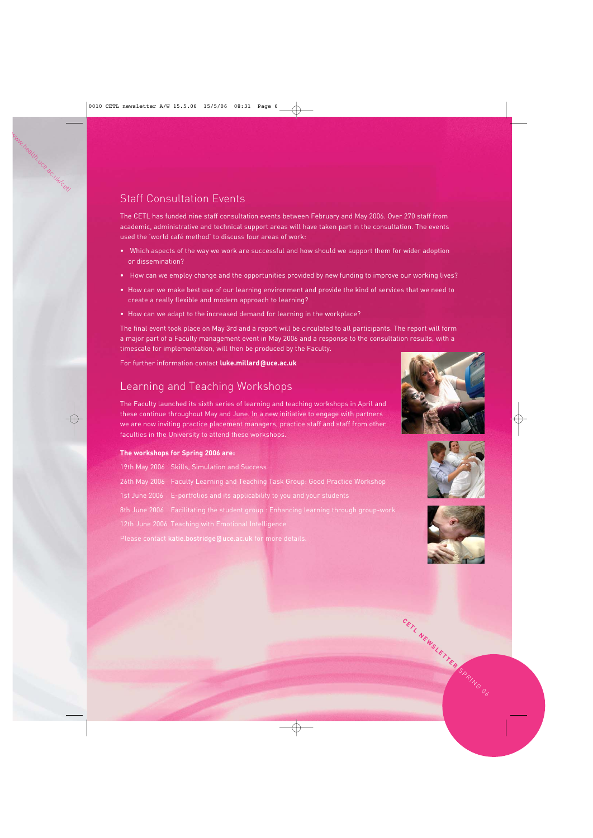# Staff Consultation Events

The CETL has funded nine staff consultation events between February and May 2006. Over 270 staff from academic, administrative and technical support areas will have taken part in the consultation. The events used the 'world café method' to discuss four areas of work:

- Which aspects of the way we work are successful and how should we support them for wider adoption or dissemination?
- How can we employ change and the opportunities provided by new funding to improve our working lives?
- How can we make best use of our learning environment and provide the kind of services that we need to create a really flexible and modern approach to learning?
- How can we adapt to the increased demand for learning in the workplace?

The final event took place on May 3rd and a report will be circulated to all participants. The report will form a major part of a Faculty management event in May 2006 and a response to the consultation results, with a timescale for implementation, will then be produced by the Faculty.

For further information contact **luke.millard@uce.ac.uk**

### Learning and Teaching Workshops

The Faculty launched its sixth series of learning and teaching workshops in April and these continue throughout May and June. In a new initiative to engage with partners we are now inviting practice placement managers, practice staff and staff from other faculties in the University to attend these workshops.

### **The workshops for Spring 2006 are:**

|                                                            | 19th May 2006 Skills, Simulation and Success                                        |
|------------------------------------------------------------|-------------------------------------------------------------------------------------|
|                                                            | 26th May 2006 Faculty Learning and Teaching Task Group: Good Practice Workshop      |
|                                                            | 1st June 2006 E-portfolios and its applicability to you and your students           |
|                                                            | 8th June 2006 Facilitating the student group: Enhancing learning through group-work |
|                                                            | 12th June 2006 Teaching with Emotional Intelligence                                 |
| Please contact katie.bostridge@uce.ac.uk for more details. |                                                                                     |







**CETL NEWSLETTER** SPRING 06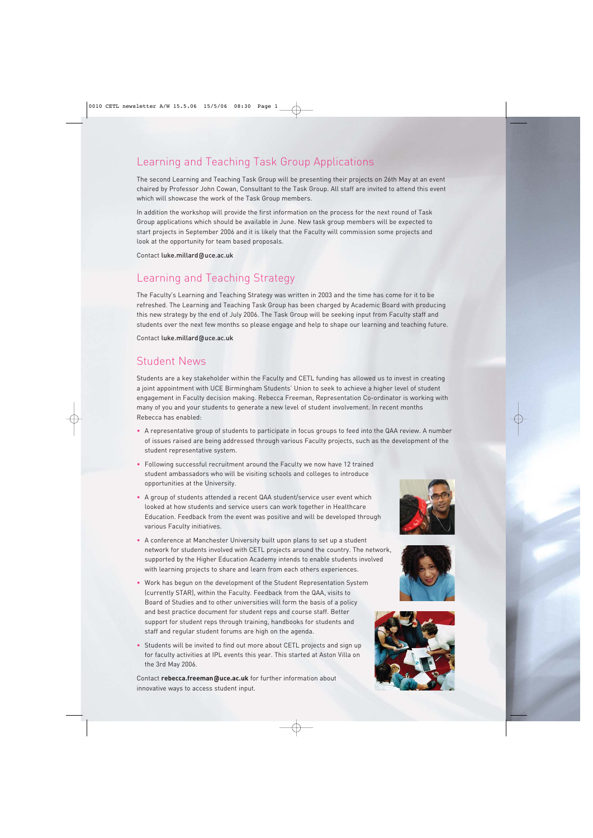### Learning and Teaching Task Group Applications

The second Learning and Teaching Task Group will be presenting their projects on 26th May at an event chaired by Professor John Cowan, Consultant to the Task Group. All staff are invited to attend this event which will showcase the work of the Task Group members.

In addition the workshop will provide the first information on the process for the next round of Task Group applications which should be available in June. New task group members will be expected to start projects in September 2006 and it is likely that the Faculty will commission some projects and look at the opportunity for team based proposals.

Contact luke.millard@uce.ac.uk

### Learning and Teaching Strategy

The Faculty's Learning and Teaching Strategy was written in 2003 and the time has come for it to be refreshed. The Learning and Teaching Task Group has been charged by Academic Board with producing this new strategy by the end of July 2006. The Task Group will be seeking input from Faculty staff and students over the next few months so please engage and help to shape our learning and teaching future.

Contact luke.millard@uce.ac.uk

### Student News

Students are a key stakeholder within the Faculty and CETL funding has allowed us to invest in creating a joint appointment with UCE Birmingham Students' Union to seek to achieve a higher level of student engagement in Faculty decision making. Rebecca Freeman, Representation Co-ordinator is working with many of you and your students to generate a new level of student involvement. In recent months Rebecca has enabled:

- A representative group of students to participate in focus groups to feed into the QAA review. A number of issues raised are being addressed through various Faculty projects, such as the development of the student representative system.
- Following successful recruitment around the Faculty we now have 12 trained student ambassadors who will be visiting schools and colleges to introduce opportunities at the University.
- A group of students attended a recent QAA student/service user event which looked at how students and service users can work together in Healthcare Education. Feedback from the event was positive and will be developed through various Faculty initiatives.
- A conference at Manchester University built upon plans to set up a student network for students involved with CETL projects around the country. The network, supported by the Higher Education Academy intends to enable students involved with learning projects to share and learn from each others experiences.
- Work has begun on the development of the Student Representation System (currently STAR), within the Faculty. Feedback from the QAA, visits to Board of Studies and to other universities will form the basis of a policy and best practice document for student reps and course staff. Better support for student reps through training, handbooks for students and staff and regular student forums are high on the agenda.
- Students will be invited to find out more about CETL projects and sign up for faculty activities at IPL events this year. This started at Aston Villa on the 3rd May 2006.

Contact **rebecca.freeman@uce.ac.uk** for further information about innovative ways to access student input.